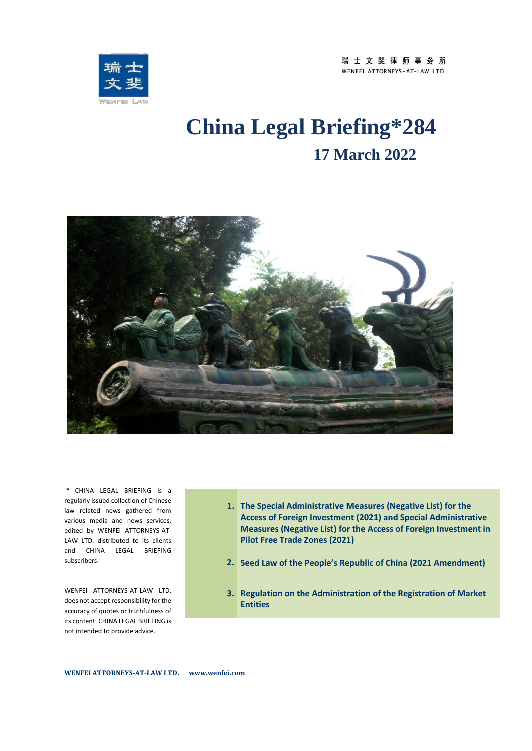

# **China Legal Briefing\*284 17 March 2022**



\* CHINA LEGAL BRIEFING is a regularly issued collection of Chinese law related news gathered from various media and news services, edited by WENFEI ATTORNEYS-AT-LAW LTD. distributed to its clients and CHINA LEGAL BRIEFING subscribers.

WENFEI ATTORNEYS-AT-LAW LTD. does not accept responsibility for the accuracy of quotes or truthfulness of its content. CHINA LEGAL BRIEFING is not intended to provide advice.

- **1. The Special Administrative Measures (Negative List) for the Access of Foreign Investment (2021) and Special Administrative Measures (Negative List) for the Access of Foreign Investment in Pilot Free Trade Zones (2021)**
- **2. Seed Law of the People's Republic of China (2021 Amendment)**
- **3. Regulation on the Administration of the Registration of Market Entities**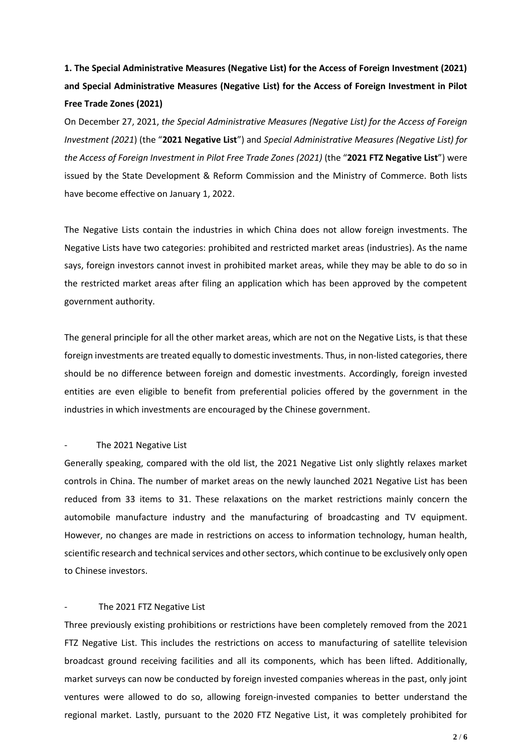# **1. The Special Administrative Measures (Negative List) for the Access of Foreign Investment (2021) and Special Administrative Measures (Negative List) for the Access of Foreign Investment in Pilot Free Trade Zones (2021)**

On December 27, 2021, *the Special Administrative Measures (Negative List) for the Access of Foreign Investment (2021*) (the "**2021 Negative List**") and *Special Administrative Measures (Negative List) for the Access of Foreign Investment in Pilot Free Trade Zones (2021)* (the "**2021 FTZ Negative List**") were issued by the State Development & Reform Commission and the Ministry of Commerce. Both lists have become effective on January 1, 2022.

The Negative Lists contain the industries in which China does not allow foreign investments. The Negative Lists have two categories: prohibited and restricted market areas (industries). As the name says, foreign investors cannot invest in prohibited market areas, while they may be able to do so in the restricted market areas after filing an application which has been approved by the competent government authority.

The general principle for all the other market areas, which are not on the Negative Lists, is that these foreign investments are treated equally to domestic investments. Thus, in non-listed categories, there should be no difference between foreign and domestic investments. Accordingly, foreign invested entities are even eligible to benefit from preferential policies offered by the government in the industries in which investments are encouraged by the Chinese government.

## The 2021 Negative List

Generally speaking, compared with the old list, the 2021 Negative List only slightly relaxes market controls in China. The number of market areas on the newly launched 2021 Negative List has been reduced from 33 items to 31. These relaxations on the market restrictions mainly concern the automobile manufacture industry and the manufacturing of broadcasting and TV equipment. However, no changes are made in restrictions on access to information technology, human health, scientific research and technical services and other sectors, which continue to be exclusively only open to Chinese investors.

## The 2021 FTZ Negative List

Three previously existing prohibitions or restrictions have been completely removed from the 2021 FTZ Negative List. This includes the restrictions on access to manufacturing of satellite television broadcast ground receiving facilities and all its components, which has been lifted. Additionally, market surveys can now be conducted by foreign invested companies whereas in the past, only joint ventures were allowed to do so, allowing foreign-invested companies to better understand the regional market. Lastly, pursuant to the 2020 FTZ Negative List, it was completely prohibited for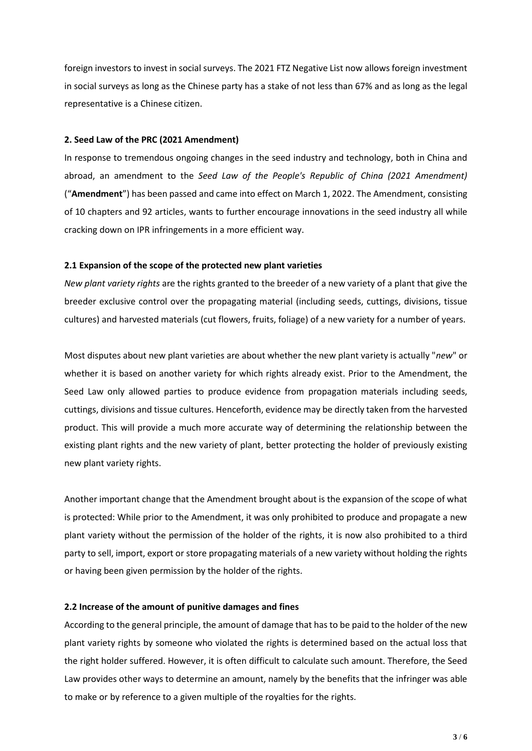foreign investors to invest in social surveys. The 2021 FTZ Negative List now allows foreign investment in social surveys as long as the Chinese party has a stake of not less than 67% and as long as the legal representative is a Chinese citizen.

## **2. Seed Law of the PRC (2021 Amendment)**

In response to tremendous ongoing changes in the seed industry and technology, both in China and abroad, an amendment to the *Seed Law of the People's Republic of China (2021 Amendment)*  ("**Amendment**") has been passed and came into effect on March 1, 2022. The Amendment, consisting of 10 chapters and 92 articles, wants to further encourage innovations in the seed industry all while cracking down on IPR infringements in a more efficient way.

#### **2.1 Expansion of the scope of the protected new plant varieties**

*New plant variety rights* are the rights granted to the breeder of a new variety of a plant that give the breeder exclusive control over the propagating material (including seeds, cuttings, divisions, tissue cultures) and harvested materials (cut flowers, fruits, foliage) of a new variety for a number of years.

Most disputes about new plant varieties are about whether the new plant variety is actually "*new*" or whether it is based on another variety for which rights already exist. Prior to the Amendment, the Seed Law only allowed parties to produce evidence from propagation materials including seeds, cuttings, divisions and tissue cultures. Henceforth, evidence may be directly taken from the harvested product. This will provide a much more accurate way of determining the relationship between the existing plant rights and the new variety of plant, better protecting the holder of previously existing new plant variety rights.

Another important change that the Amendment brought about is the expansion of the scope of what is protected: While prior to the Amendment, it was only prohibited to produce and propagate a new plant variety without the permission of the holder of the rights, it is now also prohibited to a third party to sell, import, export or store propagating materials of a new variety without holding the rights or having been given permission by the holder of the rights.

# **2.2 Increase of the amount of punitive damages and fines**

According to the general principle, the amount of damage that has to be paid to the holder of the new plant variety rights by someone who violated the rights is determined based on the actual loss that the right holder suffered. However, it is often difficult to calculate such amount. Therefore, the Seed Law provides other ways to determine an amount, namely by the benefits that the infringer was able to make or by reference to a given multiple of the royalties for the rights.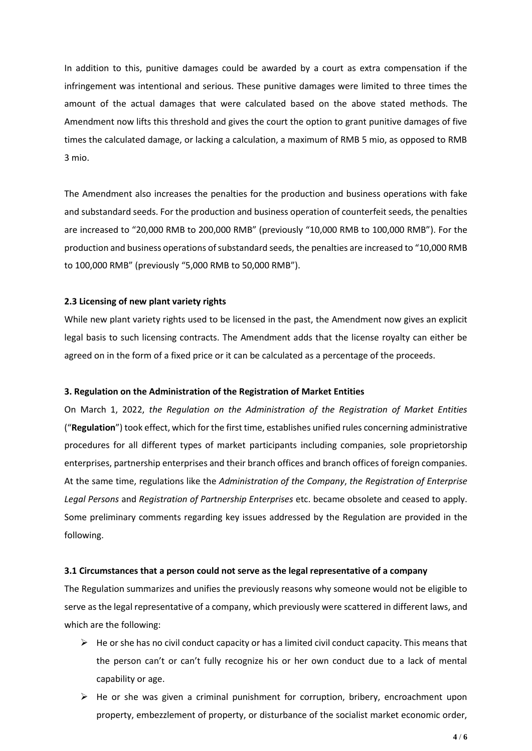In addition to this, punitive damages could be awarded by a court as extra compensation if the infringement was intentional and serious. These punitive damages were limited to three times the amount of the actual damages that were calculated based on the above stated methods. The Amendment now lifts this threshold and gives the court the option to grant punitive damages of five times the calculated damage, or lacking a calculation, a maximum of RMB 5 mio, as opposed to RMB 3 mio.

The Amendment also increases the penalties for the production and business operations with fake and substandard seeds. For the production and business operation of counterfeit seeds, the penalties are increased to "20,000 RMB to 200,000 RMB" (previously "10,000 RMB to 100,000 RMB"). For the production and business operations of substandard seeds, the penalties are increased to "10,000 RMB to 100,000 RMB" (previously "5,000 RMB to 50,000 RMB").

## **2.3 Licensing of new plant variety rights**

While new plant variety rights used to be licensed in the past, the Amendment now gives an explicit legal basis to such licensing contracts. The Amendment adds that the license royalty can either be agreed on in the form of a fixed price or it can be calculated as a percentage of the proceeds.

#### **3. Regulation on the Administration of the Registration of Market Entities**

On March 1, 2022, *the Regulation on the Administration of the Registration of Market Entities*  ("**Regulation**") took effect, which for the first time, establishes unified rules concerning administrative procedures for all different types of market participants including companies, sole proprietorship enterprises, partnership enterprises and their branch offices and branch offices of foreign companies. At the same time, regulations like the *Administration of the Company*, *the Registration of Enterprise Legal Persons* and *Registration of Partnership Enterprises* etc. became obsolete and ceased to apply. Some preliminary comments regarding key issues addressed by the Regulation are provided in the following.

#### **3.1 Circumstances that a person could not serve as the legal representative of a company**

The Regulation summarizes and unifies the previously reasons why someone would not be eligible to serve as the legal representative of a company, which previously were scattered in different laws, and which are the following:

- $\triangleright$  He or she has no civil conduct capacity or has a limited civil conduct capacity. This means that the person can't or can't fully recognize his or her own conduct due to a lack of mental capability or age.
- $\triangleright$  He or she was given a criminal punishment for corruption, bribery, encroachment upon property, embezzlement of property, or disturbance of the socialist market economic order,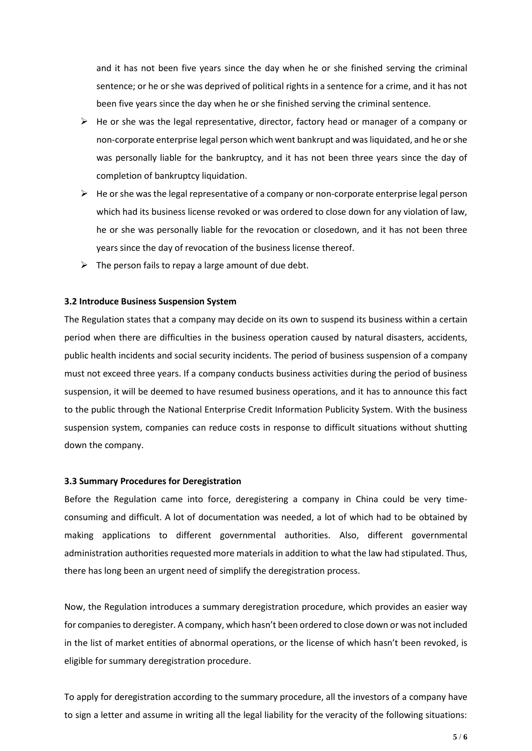and it has not been five years since the day when he or she finished serving the criminal sentence; or he or she was deprived of political rights in a sentence for a crime, and it has not been five years since the day when he or she finished serving the criminal sentence.

- $\triangleright$  He or she was the legal representative, director, factory head or manager of a company or non-corporate enterprise legal person which went bankrupt and was liquidated, and he or she was personally liable for the bankruptcy, and it has not been three years since the day of completion of bankruptcy liquidation.
- $\triangleright$  He or she was the legal representative of a company or non-corporate enterprise legal person which had its business license revoked or was ordered to close down for any violation of law, he or she was personally liable for the revocation or closedown, and it has not been three years since the day of revocation of the business license thereof.
- $\triangleright$  The person fails to repay a large amount of due debt.

## **3.2 Introduce Business Suspension System**

The Regulation states that a company may decide on its own to suspend its business within a certain period when there are difficulties in the business operation caused by natural disasters, accidents, public health incidents and social security incidents. The period of business suspension of a company must not exceed three years. If a company conducts business activities during the period of business suspension, it will be deemed to have resumed business operations, and it has to announce this fact to the public through the National Enterprise Credit Information Publicity System. With the business suspension system, companies can reduce costs in response to difficult situations without shutting down the company.

## **3.3 Summary Procedures for Deregistration**

Before the Regulation came into force, deregistering a company in China could be very timeconsuming and difficult. A lot of documentation was needed, a lot of which had to be obtained by making applications to different governmental authorities. Also, different governmental administration authorities requested more materials in addition to what the law had stipulated. Thus, there has long been an urgent need of simplify the deregistration process.

Now, the Regulation introduces a summary deregistration procedure, which provides an easier way for companiesto deregister. A company, which hasn't been ordered to close down or was not included in the list of market entities of abnormal operations, or the license of which hasn't been revoked, is eligible for summary deregistration procedure.

To apply for deregistration according to the summary procedure, all the investors of a company have to sign a letter and assume in writing all the legal liability for the veracity of the following situations: